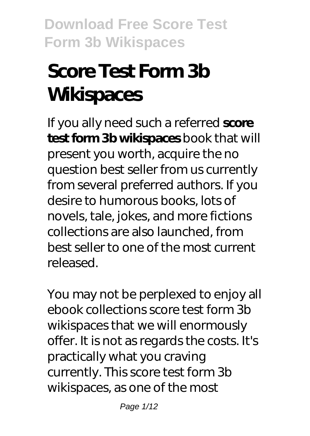# **Score Test Form 3b Wikispaces**

If you ally need such a referred **score test form 3b wikispaces** book that will present you worth, acquire the no question best seller from us currently from several preferred authors. If you desire to humorous books, lots of novels, tale, jokes, and more fictions collections are also launched, from best seller to one of the most current released.

You may not be perplexed to enjoy all ebook collections score test form 3b wikispaces that we will enormously offer. It is not as regards the costs. It's practically what you craving currently. This score test form 3b wikispaces, as one of the most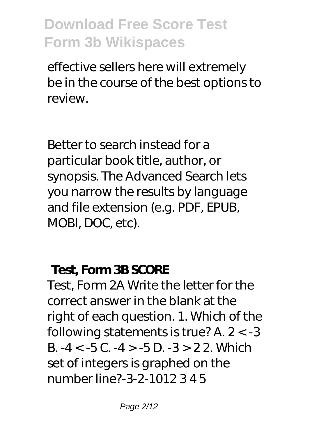effective sellers here will extremely be in the course of the best options to review.

Better to search instead for a particular book title, author, or synopsis. The Advanced Search lets you narrow the results by language and file extension (e.g. PDF, EPUB, MOBI, DOC, etc).

#### **Test, Form 3B SCORE**

Test, Form 2A Write the letter for the correct answer in the blank at the right of each question. 1. Which of the following statements is true? A. 2 < -3 B.  $-4 < -5$ C.  $-4 > -5$ D.  $-3 > 22$ . Which set of integers is graphed on the number line?-3-2-1012 3 4 5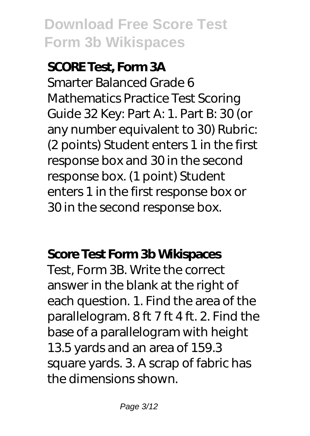#### **SCORE Test, Form 3A**

Smarter Balanced Grade 6 Mathematics Practice Test Scoring Guide 32 Key: Part A: 1. Part B: 30 (or any number equivalent to 30) Rubric: (2 points) Student enters 1 in the first response box and 30 in the second response box. (1 point) Student enters 1 in the first response box or 30 in the second response box.

### **Score Test Form 3b Wikispaces**

Test, Form 3B. Write the correct answer in the blank at the right of each question. 1. Find the area of the parallelogram. 8 ft 7 ft 4 ft. 2. Find the base of a parallelogram with height 13.5 yards and an area of 159.3 square yards. 3. A scrap of fabric has the dimensions shown.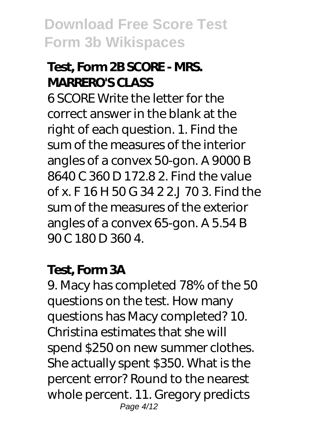### **Test, Form 2B SCORE - MRS. MARRERO'S CLASS**

6 SCORE Write the letter for the correct answer in the blank at the right of each question. 1. Find the sum of the measures of the interior angles of a convex 50-gon. A 9000 B 8640 C 360 D 172.8 2. Find the value of x. F 16 H 50 G 34 2 2.J 70 3. Find the sum of the measures of the exterior angles of a convex 65-gon. A 5.54 B 90 C 180 D 360 4.

#### **Test, Form 3A**

9. Macy has completed 78% of the 50 questions on the test. How many questions has Macy completed? 10. Christina estimates that she will spend \$250 on new summer clothes. She actually spent \$350. What is the percent error? Round to the nearest whole percent. 11. Gregory predicts Page 4/12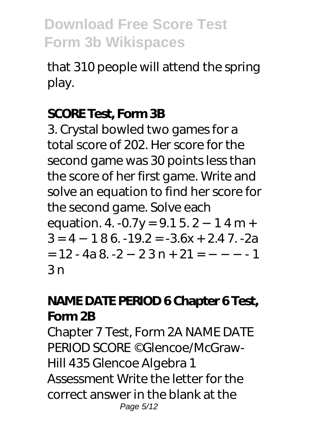that 310 people will attend the spring play.

#### **SCORE Test, Form 3B**

3. Crystal bowled two games for a total score of 202. Her score for the second game was 30 points less than the score of her first game. Write and solve an equation to find her score for the second game. Solve each equation. 4. -0.7y = 9.1 5. 2 −1 4 m +  $3 = 4 - 186 - 19.2 = -3.6x + 2.47$ . -2a  $= 12 - 4a 8 - 2 - 23n + 21 = - - - 1$  $3n$ 

### **NAME DATE PERIOD 6 Chapter 6 Test, Form 2B**

Chapter 7 Test, Form 2A NAME DATE PERIOD SCORE ©Glencoe/McGraw-Hill 435 Glencoe Algebra 1 Assessment Write the letter for the correct answer in the blank at the Page 5/12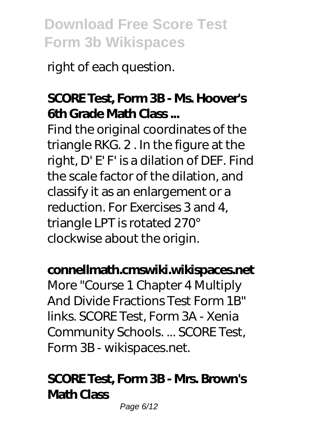right of each question.

### **SCORE Test, Form 3B - Ms. Hoover's 6th Grade Math Class ...**

Find the original coordinates of the triangle RKG. 2 . In the figure at the right, D' E' F' is a dilation of DEF. Find the scale factor of the dilation, and classify it as an enlargement or a reduction. For Exercises 3 and 4, triangle LPT is rotated 270° clockwise about the origin.

#### **connellmath.cmswiki.wikispaces.net**

More "Course 1 Chapter 4 Multiply And Divide Fractions Test Form 1B" links. SCORE Test, Form 3A - Xenia Community Schools. ... SCORE Test, Form 3B - wikispaces.net.

#### **SCORE Test, Form 3B - Mrs. Brown's Math Class**

Page 6/12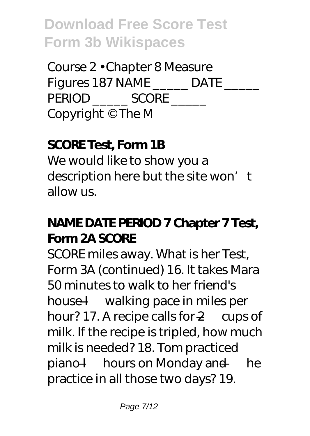Course 2 • Chapter 8 Measure Figures 187 NAME DATE PERIOD SCORE \_\_\_\_\_\_ Copyright © The M

### **SCORE Test, Form 1B**

We would like to show you a description here but the site won't allow us.

### **NAME DATE PERIOD 7 Chapter 7 Test, Form 2A SCORE**

SCORE miles away. What is her Test, Form 3A (continued) 16. It takes Mara 50 minutes to walk to her friend's house I— walking pace in miles per hour? 17. A recipe calls for 2— cups of milk. If the recipe is tripled, how much milk is needed? 18. Tom practiced piano I— hours on Monday and — he practice in all those two days? 19.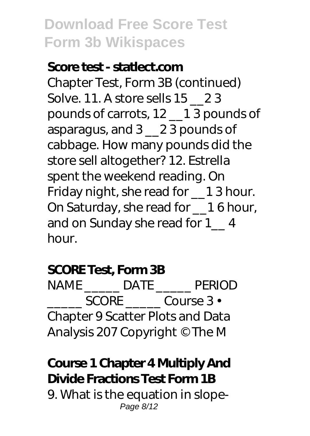#### **Score test - statlect.com**

Chapter Test, Form 3B (continued) Solve. 11. A store sells 15 23 pounds of carrots, 12 \_\_1 3 pounds of asparagus, and 3 \_\_2 3 pounds of cabbage. How many pounds did the store sell altogether? 12. Estrella spent the weekend reading. On Friday night, she read for \_\_1 3 hour. On Saturday, she read for \_\_1 6 hour, and on Sunday she read for 1\_\_ 4 hour.

#### **SCORE Test, Form 3B**

NAME \_\_\_\_\_ DATE \_\_\_\_\_ PERIOD SCORE Course 3 • Chapter 9 Scatter Plots and Data Analysis 207 Copyright © The M

### **Course 1 Chapter 4 Multiply And Divide Fractions Test Form 1B**

9. What is the equation in slope-Page 8/12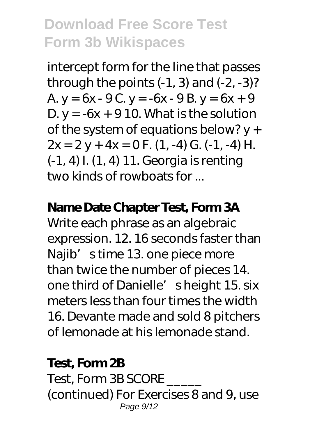intercept form for the line that passes through the points  $(-1, 3)$  and  $(-2, -3)$ ? A.  $y = 6x - 9C$ .  $y = -6x - 9B$ .  $y = 6x + 9$ D.  $y = -6x + 910$ . What is the solution of the system of equations below? y +  $2x = 2y + 4x = 0$  F. (1, -4) G. (-1, -4) H. (-1, 4) I. (1, 4) 11. Georgia is renting two kinds of rowboats for ...

#### **Name Date Chapter Test, Form 3A**

Write each phrase as an algebraic expression. 12. 16 seconds faster than Najib's time 13. one piece more than twice the number of pieces 14. one third of Danielle' sheight 15. six meters less than four times the width 16. Devante made and sold 8 pitchers of lemonade at his lemonade stand.

#### **Test, Form 2B**

Test, Form 3B SCORE (continued) For Exercises 8 and 9, use Page  $9/12$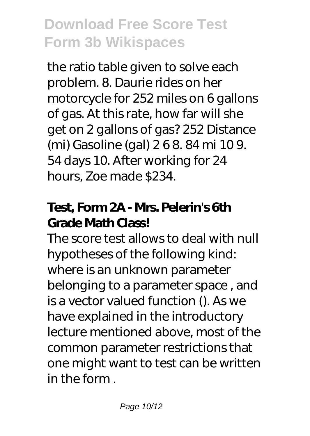the ratio table given to solve each problem. 8. Daurie rides on her motorcycle for 252 miles on 6 gallons of gas. At this rate, how far will she get on 2 gallons of gas? 252 Distance (mi) Gasoline (gal) 2 6 8. 84 mi 10 9. 54 days 10. After working for 24 hours, Zoe made \$234.

### **Test, Form 2A - Mrs. Pelerin's 6th Grade Math Class!**

The score test allows to deal with null hypotheses of the following kind: where is an unknown parameter belonging to a parameter space , and is a vector valued function (). As we have explained in the introductory lecture mentioned above, most of the common parameter restrictions that one might want to test can be written in the form .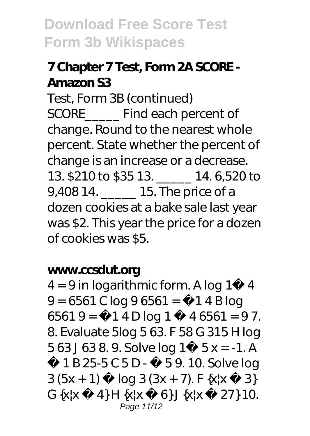### **7 Chapter 7 Test, Form 2A SCORE - Amazon S3**

Test, Form 3B (continued) SCORE\_\_\_\_\_ Find each percent of change. Round to the nearest whole percent. State whether the percent of change is an increase or a decrease. 13. \$210 to \$35 13. \_\_\_\_\_ 14. 6,520 to 9,408 14. \_\_\_\_\_ 15. The price of a dozen cookies at a bake sale last year was \$2. This year the price for a dozen of cookies was \$5.

#### **www.ccsdut.org**

 $4 = 9$  in logarithmic form. A log  $1^{\degree}$  4  $9 = 6561$  C log  $96561 = 714$  B log 6561 9 =  $\degree$  1 4 D log 1  $\degree$  4 6561 = 97. 8. Evaluate 5log 5 63. F 58 G 315 H log 5 63 J 63 8. 9. Solve log  $1^{\circ}$  5 x = -1. A ˜ 1 B 25-5 C 5 D - ˜ 5 9. 10. Solve log  $3 (5x + 1)$   $\log 3 (3x + 7)$ . F  $\{x | x \leq 3\}$ G  $\{x | x \ 4\}$  H  $\{x | x \ 6\}$  J  $\{x | x \ 27\}$  10. Page 11/12